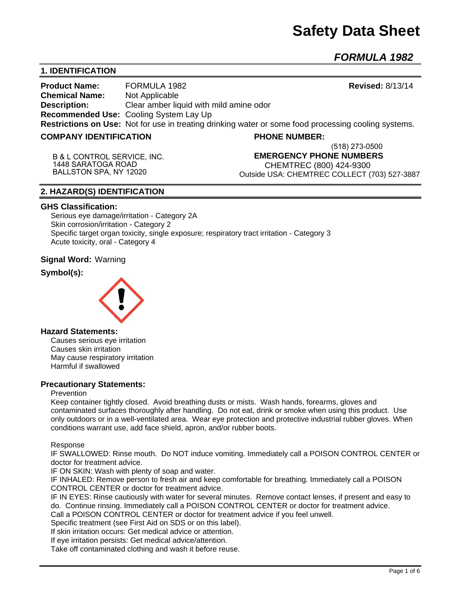# **Safety Data Sheet**

**(518) 273-0500**

*FORMULA 1982* 

# **1. IDENTIFICATION**

**Product Name:** FORMULA 1982 **Revised:** 8/13/14 **Chemical Name:** Not Applicable **Description:** Clear amber liquid with mild amine odor **Recommended Use:** Cooling System Lay Up **Restrictions on Use:** Not for use in treating drinking water or some food processing cooling systems.

## **COMPANY IDENTIFICATION PHONE NUMBER:**

**B & L CONTROL SERVICE, INC. 1448 SARATOGA ROAD BALLSTON SPA, NY 12020**

# **EMERGENCY PHONE NUMBERS**

CHEMTREC (800) 424-9300 Outside USA: CHEMTREC COLLECT (703) 527-3887

## **2. HAZARD(S) IDENTIFICATION**

#### **GHS Classification:**

Serious eye damage/irritation - Category 2A Skin corrosion/irritation - Category 2 Specific target organ toxicity, single exposure; respiratory tract irritation - Category 3 Acute toxicity, oral - Category 4

**Signal Word:** Warning

# **Symbol(s):**



#### **Hazard Statements:**

Causes serious eye irritation Causes skin irritation May cause respiratory irritation Harmful if swallowed

## **Precautionary Statements:**

#### Prevention

Keep container tightly closed. Avoid breathing dusts or mists. Wash hands, forearms, gloves and contaminated surfaces thoroughly after handling. Do not eat, drink or smoke when using this product. Use only outdoors or in a well-ventilated area. Wear eye protection and protective industrial rubber gloves. When conditions warrant use, add face shield, apron, and/or rubber boots.

#### Response

IF SWALLOWED: Rinse mouth. Do NOT induce vomiting. Immediately call a POISON CONTROL CENTER or doctor for treatment advice.

IF ON SKIN: Wash with plenty of soap and water.

IF INHALED: Remove person to fresh air and keep comfortable for breathing. Immediately call a POISON CONTROL CENTER or doctor for treatment advice.

IF IN EYES: Rinse cautiously with water for several minutes. Remove contact lenses, if present and easy to do. Continue rinsing. Immediately call a POISON CONTROL CENTER or doctor for treatment advice.

Call a POISON CONTROL CENTER or doctor for treatment advice if you feel unwell.

Specific treatment (see First Aid on SDS or on this label).

If skin irritation occurs: Get medical advice or attention.

If eye irritation persists: Get medical advice/attention.

Take off contaminated clothing and wash it before reuse.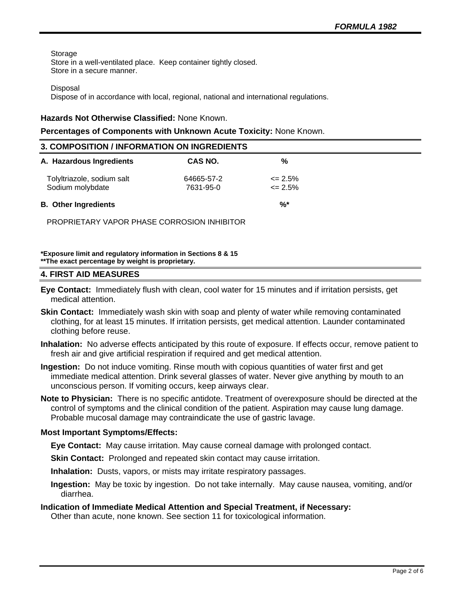Storage Store in a well-ventilated place. Keep container tightly closed. Store in a secure manner.

**Disposal** 

Dispose of in accordance with local, regional, national and international regulations.

### **Hazards Not Otherwise Classified:** None Known.

#### **Percentages of Components with Unknown Acute Toxicity:** None Known.

| 3. COMPOSITION / INFORMATION ON INGREDIENTS    |                         |                                  |  |  |
|------------------------------------------------|-------------------------|----------------------------------|--|--|
| A. Hazardous Ingredients                       | CAS NO.                 | %                                |  |  |
| Tolyltriazole, sodium salt<br>Sodium molybdate | 64665-57-2<br>7631-95-0 | $\epsilon$ = 2.5%<br>$\leq$ 2.5% |  |  |
| <b>B.</b> Other Ingredients                    |                         | $\frac{9}{6}$                    |  |  |
| PROPRIETARY VAPOR PHASE CORROSION INHIBITOR    |                         |                                  |  |  |

**\*Exposure limit and regulatory information in Sections 8 & 15 \*\*The exact percentage by weight is proprietary.** 

## **4. FIRST AID MEASURES**

- **Eye Contact:** Immediately flush with clean, cool water for 15 minutes and if irritation persists, get medical attention.
- **Skin Contact:** Immediately wash skin with soap and plenty of water while removing contaminated clothing, for at least 15 minutes. If irritation persists, get medical attention. Launder contaminated clothing before reuse.
- **Inhalation:** No adverse effects anticipated by this route of exposure. If effects occur, remove patient to fresh air and give artificial respiration if required and get medical attention.
- **Ingestion:** Do not induce vomiting. Rinse mouth with copious quantities of water first and get immediate medical attention. Drink several glasses of water. Never give anything by mouth to an unconscious person. If vomiting occurs, keep airways clear.
- **Note to Physician:** There is no specific antidote. Treatment of overexposure should be directed at the control of symptoms and the clinical condition of the patient. Aspiration may cause lung damage. Probable mucosal damage may contraindicate the use of gastric lavage.

## **Most Important Symptoms/Effects:**

- **Eye Contact:** May cause irritation. May cause corneal damage with prolonged contact.
- **Skin Contact:** Prolonged and repeated skin contact may cause irritation.
- **Inhalation:** Dusts, vapors, or mists may irritate respiratory passages.
- **Ingestion:** May be toxic by ingestion. Do not take internally. May cause nausea, vomiting, and/or diarrhea.

## **Indication of Immediate Medical Attention and Special Treatment, if Necessary:**

Other than acute, none known. See section 11 for toxicological information.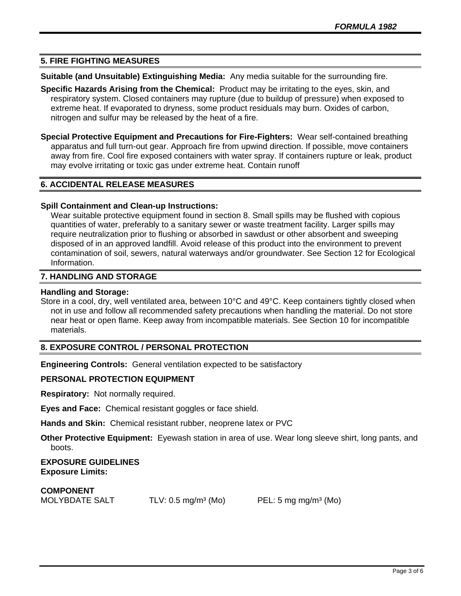# **5. FIRE FIGHTING MEASURES**

**Suitable (and Unsuitable) Extinguishing Media:** Any media suitable for the surrounding fire.

**Specific Hazards Arising from the Chemical:** Product may be irritating to the eyes, skin, and respiratory system. Closed containers may rupture (due to buildup of pressure) when exposed to extreme heat. If evaporated to dryness, some product residuals may burn. Oxides of carbon, nitrogen and sulfur may be released by the heat of a fire.

**Special Protective Equipment and Precautions for Fire-Fighters:** Wear self-contained breathing apparatus and full turn-out gear. Approach fire from upwind direction. If possible, move containers away from fire. Cool fire exposed containers with water spray. If containers rupture or leak, product may evolve irritating or toxic gas under extreme heat. Contain runoff

# **6. ACCIDENTAL RELEASE MEASURES**

## **Spill Containment and Clean-up Instructions:**

Wear suitable protective equipment found in section 8. Small spills may be flushed with copious quantities of water, preferably to a sanitary sewer or waste treatment facility. Larger spills may require neutralization prior to flushing or absorbed in sawdust or other absorbent and sweeping disposed of in an approved landfill. Avoid release of this product into the environment to prevent contamination of soil, sewers, natural waterways and/or groundwater. See Section 12 for Ecological Information.

## **7. HANDLING AND STORAGE**

## **Handling and Storage:**

Store in a cool, dry, well ventilated area, between 10°C and 49°C. Keep containers tightly closed when not in use and follow all recommended safety precautions when handling the material. Do not store near heat or open flame. Keep away from incompatible materials. See Section 10 for incompatible materials.

# **8. EXPOSURE CONTROL / PERSONAL PROTECTION**

**Engineering Controls:** General ventilation expected to be satisfactory

# **PERSONAL PROTECTION EQUIPMENT**

**Respiratory:** Not normally required.

**Eyes and Face:** Chemical resistant goggles or face shield.

**Hands and Skin:** Chemical resistant rubber, neoprene latex or PVC

**Other Protective Equipment:** Eyewash station in area of use. Wear long sleeve shirt, long pants, and boots.

**EXPOSURE GUIDELINES Exposure Limits:** 

**COMPONENT**

MOLYBDATE SALT TLV: 0.5 mg/m<sup>3</sup> (Mo) PEL: 5 mg mg/m<sup>3</sup> (Mo)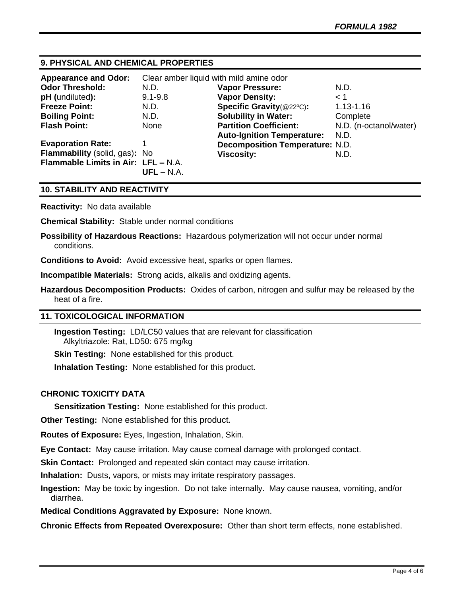# **9. PHYSICAL AND CHEMICAL PROPERTIES**

| <b>Appearance and Odor:</b>         | Clear amber liquid with mild amine odor |                                        |                        |
|-------------------------------------|-----------------------------------------|----------------------------------------|------------------------|
| <b>Odor Threshold:</b>              | N.D.                                    | <b>Vapor Pressure:</b>                 | N.D.                   |
| pH (undiluted):                     | $9.1 - 9.8$                             | <b>Vapor Density:</b>                  | < 1                    |
| <b>Freeze Point:</b>                | N.D.                                    | Specific Gravity(@22°C):               | $1.13 - 1.16$          |
| <b>Boiling Point:</b>               | N.D.                                    | <b>Solubility in Water:</b>            | Complete               |
| <b>Flash Point:</b>                 | <b>None</b>                             | <b>Partition Coefficient:</b>          | N.D. (n-octanol/water) |
|                                     |                                         | <b>Auto-Ignition Temperature:</b>      | N.D.                   |
| <b>Evaporation Rate:</b>            |                                         | <b>Decomposition Temperature: N.D.</b> |                        |
| Flammability (solid, gas): No       |                                         | Viscosity:                             | N.D.                   |
| Flammable Limits in Air: LFL - N.A. |                                         |                                        |                        |
|                                     | $UFL - N.A.$                            |                                        |                        |

# **10. STABILITY AND REACTIVITY**

**Reactivity:** No data available

**Chemical Stability:** Stable under normal conditions

**Possibility of Hazardous Reactions:** Hazardous polymerization will not occur under normal conditions.

**Conditions to Avoid:** Avoid excessive heat, sparks or open flames.

**Incompatible Materials:** Strong acids, alkalis and oxidizing agents.

**Hazardous Decomposition Products:** Oxides of carbon, nitrogen and sulfur may be released by the heat of a fire.

## **11. TOXICOLOGICAL INFORMATION**

**Ingestion Testing:** LD/LC50 values that are relevant for classification Alkyltriazole: Rat, LD50: 675 mg/kg

**Skin Testing: None established for this product.** 

**Inhalation Testing:** None established for this product.

## **CHRONIC TOXICITY DATA**

**Sensitization Testing:** None established for this product.

**Other Testing:** None established for this product.

**Routes of Exposure:** Eyes, Ingestion, Inhalation, Skin.

**Eye Contact:** May cause irritation. May cause corneal damage with prolonged contact.

**Skin Contact:** Prolonged and repeated skin contact may cause irritation.

**Inhalation:** Dusts, vapors, or mists may irritate respiratory passages.

**Ingestion:** May be toxic by ingestion. Do not take internally. May cause nausea, vomiting, and/or diarrhea.

**Medical Conditions Aggravated by Exposure:** None known.

**Chronic Effects from Repeated Overexposure:** Other than short term effects, none established.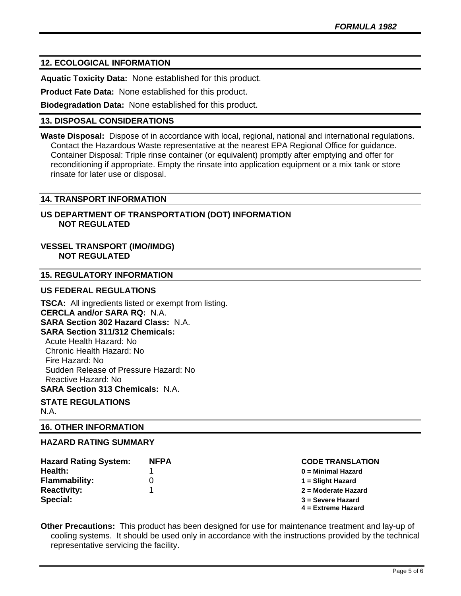# **12. ECOLOGICAL INFORMATION**

**Aquatic Toxicity Data:** None established for this product.

**Product Fate Data:** None established for this product.

**Biodegradation Data:** None established for this product.

## **13. DISPOSAL CONSIDERATIONS**

**Waste Disposal:** Dispose of in accordance with local, regional, national and international regulations. Contact the Hazardous Waste representative at the nearest EPA Regional Office for guidance. Container Disposal: Triple rinse container (or equivalent) promptly after emptying and offer for reconditioning if appropriate. Empty the rinsate into application equipment or a mix tank or store rinsate for later use or disposal.

## **14. TRANSPORT INFORMATION**

# **US DEPARTMENT OF TRANSPORTATION (DOT) INFORMATION NOT REGULATED**

# **VESSEL TRANSPORT (IMO/IMDG) NOT REGULATED**

## **15. REGULATORY INFORMATION**

## **US FEDERAL REGULATIONS**

**TSCA:** All ingredients listed or exempt from listing. **CERCLA and/or SARA RQ:** N.A. **SARA Section 302 Hazard Class:** N.A. **SARA Section 311/312 Chemicals:**  Acute Health Hazard: No Chronic Health Hazard: No Fire Hazard: No Sudden Release of Pressure Hazard: No Reactive Hazard: No **SARA Section 313 Chemicals:** N.A.

#### **STATE REGULATIONS** N.A.

## **16. OTHER INFORMATION**

## **HAZARD RATING SUMMARY**

| <b>Hazard Rating System:</b> | <b>NFPA</b> |
|------------------------------|-------------|
| Health:                      |             |
| <b>Flammability:</b>         | O)          |
| <b>Reactivity:</b>           |             |
| Special:                     |             |

#### **Hazard Rating System: NFPA CODE TRANSLATION**

- **Health:** 1 **0 = Minimal Hazard**
- **Flammability:** 0 **1 = Slight Hazard**
- **Reactivity:** 1 **2 = Moderate Hazard**
- **Special: 3 = Severe Hazard**
- **4 = Extreme Hazard**

**Other Precautions:** This product has been designed for use for maintenance treatment and lay-up of cooling systems. It should be used only in accordance with the instructions provided by the technical representative servicing the facility.